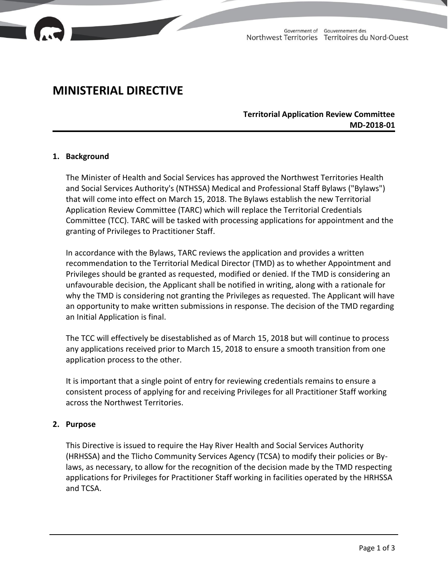

# **MINISTERIAL DIRECTIVE**

# **Territorial Application Review Committee MD-2018-01**

#### **1. Background**

The Minister of Health and Social Services has approved the Northwest Territories Health and Social Services Authority's (NTHSSA) Medical and Professional Staff Bylaws ("Bylaws") that will come into effect on March 15, 2018. The Bylaws establish the new Territorial Application Review Committee (TARC) which will replace the Territorial Credentials Committee (TCC). TARC will be tasked with processing applications for appointment and the granting of Privileges to Practitioner Staff.

In accordance with the Bylaws, TARC reviews the application and provides a written recommendation to the Territorial Medical Director (TMD) as to whether Appointment and Privileges should be granted as requested, modified or denied. If the TMD is considering an unfavourable decision, the Applicant shall be notified in writing, along with a rationale for why the TMD is considering not granting the Privileges as requested. The Applicant will have an opportunity to make written submissions in response. The decision of the TMD regarding an Initial Application is final.

The TCC will effectively be disestablished as of March 15, 2018 but will continue to process any applications received prior to March 15, 2018 to ensure a smooth transition from one application process to the other.

It is important that a single point of entry for reviewing credentials remains to ensure a consistent process of applying for and receiving Privileges for all Practitioner Staff working across the Northwest Territories.

### **2. Purpose**

This Directive is issued to require the Hay River Health and Social Services Authority (HRHSSA) and the Tlicho Community Services Agency (TCSA) to modify their policies or Bylaws, as necessary, to allow for the recognition of the decision made by the TMD respecting applications for Privileges for Practitioner Staff working in facilities operated by the HRHSSA and TCSA.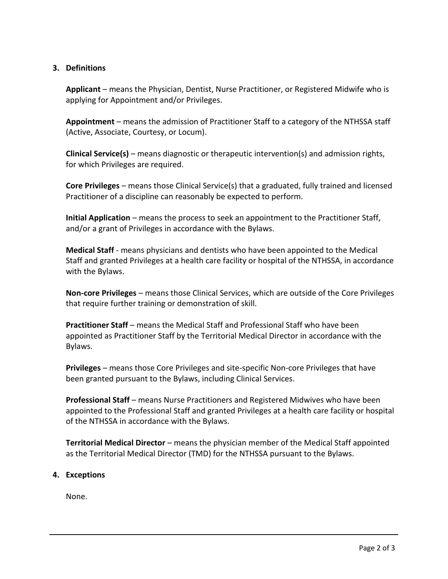## **3. Definitions**

**Applicant** – means the Physician, Dentist, Nurse Practitioner, or Registered Midwife who is applying for Appointment and/or Privileges.

**Appointment** – means the admission of Practitioner Staff to a category of the NTHSSA staff (Active, Associate, Courtesy, or Locum).

**Clinical Service(s)** – means diagnostic or therapeutic intervention(s) and admission rights, for which Privileges are required.

**Core Privileges** – means those Clinical Service(s) that a graduated, fully trained and licensed Practitioner of a discipline can reasonably be expected to perform.

**Initial Application** – means the process to seek an appointment to the Practitioner Staff, and/or a grant of Privileges in accordance with the Bylaws.

**Medical Staff** - means physicians and dentists who have been appointed to the Medical Staff and granted Privileges at a health care facility or hospital of the NTHSSA, in accordance with the Bylaws.

**Non-core Privileges** – means those Clinical Services, which are outside of the Core Privileges that require further training or demonstration of skill.

**Practitioner Staff** – means the Medical Staff and Professional Staff who have been appointed as Practitioner Staff by the Territorial Medical Director in accordance with the Bylaws.

**Privileges** – means those Core Privileges and site-specific Non-core Privileges that have been granted pursuant to the Bylaws, including Clinical Services.

**Professional Staff** – means Nurse Practitioners and Registered Midwives who have been appointed to the Professional Staff and granted Privileges at a health care facility or hospital of the NTHSSA in accordance with the Bylaws.

**Territorial Medical Director** – means the physician member of the Medical Staff appointed as the Territorial Medical Director (TMD) for the NTHSSA pursuant to the Bylaws.

# **4. Exceptions**

None.